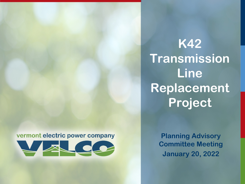vermont electric power company



**K42 Transmission Line Replacement Project**

> **Planning Advisory Committee Meeting January 20, 2022**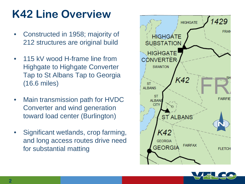# **K42 Line Overview**

- Constructed in 1958; majority of 212 structures are original build
- 115 kV wood H-frame line from Highgate to Highgate Converter Tap to St Albans Tap to Georgia (16.6 miles)
- Main transmission path for HVDC Converter and wind generation toward load center (Burlington)
- Significant wetlands, crop farming, and long access routes drive need for substantial matting



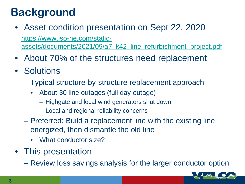## **Background**

- Asset condition presentation on Sept 22, 2020 https://www.iso-ne.com/static[assets/documents/2021/09/a7\\_k42\\_line\\_refurbishment\\_project.pdf](https://www.iso-ne.com/static-assets/documents/2021/09/a7_k42_line_refurbishment_project.pdf)
- About 70% of the structures need replacement
- Solutions
	- Typical structure-by-structure replacement approach
		- About 30 line outages (full day outage)
			- Highgate and local wind generators shut down
			- Local and regional reliability concerns
	- Preferred: Build a replacement line with the existing line energized, then dismantle the old line
		- What conductor size?
- This presentation
	- Review loss savings analysis for the larger conductor option

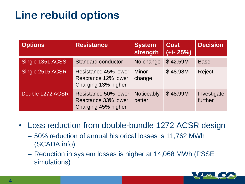## **Line rebuild options**

| <b>Options</b>   | Resistance                                                         | <b>System</b><br>strength | Cost<br>$(+/- 25%)$ | <b>Decision</b>        |
|------------------|--------------------------------------------------------------------|---------------------------|---------------------|------------------------|
| Single 1351 ACSS | <b>Standard conductor</b>                                          | No change                 | \$42.59M            | <b>Base</b>            |
| Single 2515 ACSR | Resistance 45% lower<br>Reactance 12% lower<br>Charging 13% higher | <b>Minor</b><br>change    | \$48.98M            | <b>Reject</b>          |
| Double 1272 ACSR | Resistance 50% lower<br>Reactance 33% lower<br>Charging 45% higher | Noticeably<br>better      | \$48.99M            | Investigate<br>further |

• Loss reduction from double-bundle 1272 ACSR design

- 50% reduction of annual historical losses is 11,762 MWh (SCADA info)
- Reduction in system losses is higher at 14,068 MWh (PSSE simulations)

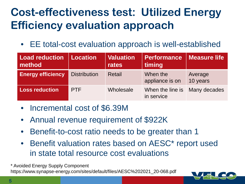## **Cost-effectiveness test: Utilized Energy Efficiency evaluation approach**

• EE total-cost evaluation approach is well-established

| <b>Load reduction</b><br>method | <b>Location</b>     | <b>Valuation</b><br>rates | Performance<br>timing          | <b>Measure life</b> |
|---------------------------------|---------------------|---------------------------|--------------------------------|---------------------|
| <b>Energy efficiency</b>        | <b>Distribution</b> | <b>Retail</b>             | When the<br>appliance is on    | Average<br>10 years |
| <b>Loss reduction</b>           | <b>PTF</b>          | Wholesale                 | When the line is<br>in service | Many decades        |

- Incremental cost of \$6.39M
- Annual revenue requirement of \$922K
- Benefit-to-cost ratio needs to be greater than 1
- Benefit valuation rates based on AESC\* report used in state total resource cost evaluations

\* Avoided Energy Supply Component

https://www.synapse-energy.com/sites/default/files/AESC%202021\_20-068.pdf

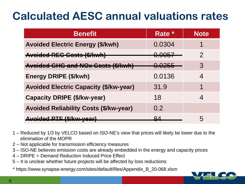#### **Calculated AESC annual valuations rates**

| <b>Benefit</b>                                | Rate *            | <b>Note</b>              |
|-----------------------------------------------|-------------------|--------------------------|
| <b>Avoided Electric Energy (\$/kwh)</b>       | 0.0304            |                          |
| Avoided REG Gosts (\$/kwh)                    | <del>0.0057</del> | $\mathcal{P}$            |
| Avoided GHG and NOx Gosts (\$/kwh)            | O ODEE<br>U.UZUU  | 3                        |
| Energy DRIPE (\$/kwh)                         | 0.0136            | 4                        |
| <b>Avoided Electric Capacity (\$/kw-year)</b> | 31.9              | 1                        |
| <b>Capacity DRIPE (\$/kw-year)</b>            | 18                | $\overline{\mathcal{A}}$ |
| <b>Avoided Reliability Costs (\$/kw-year)</b> | 0.2               |                          |
| <u>Avaidad PTF (\$/kw.waar)</u>               | <u>R4</u>         | $\mathbf b$              |

- 1 Reduced by 1/3 by VELCO based on ISO-NE's view that prices will likely be lower due to the elimination of the MOPR
- 2 Not applicable for transmission efficiency measures
- 3 ISO-NE believes emission costs are already embedded in the energy and capacity prices
- 4 DRIPE = Demand Reduction Induced Price Effect
- 5 It is unclear whether future projects will be affected by loss reductions
- \* https://www.synapse-energy.com/sites/default/files/Appendix\_B\_20-068.xlsm

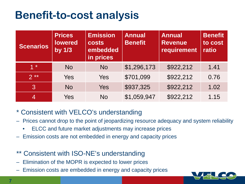#### **Benefit-to-cost analysis**

| <b>Scenarios</b> | <b>Prices</b><br><b>lowered</b><br>by $1/3$ | <b>Emission</b><br><b>costs</b><br>embedded<br>in prices | <b>Annual</b><br><b>Benefit</b> | <b>Annual</b><br><b>Revenue</b><br>requirement | <b>Benefit</b><br>to cost<br>ratio |
|------------------|---------------------------------------------|----------------------------------------------------------|---------------------------------|------------------------------------------------|------------------------------------|
| $1 *$            | <b>No</b>                                   | <b>No</b>                                                | \$1,296,173                     | \$922,212                                      | 1.41                               |
| $2**$            | Yes                                         | Yes                                                      | \$701,099                       | \$922,212                                      | 0.76                               |
| 3                | <b>No</b>                                   | <b>Yes</b>                                               | \$937,325                       | \$922,212                                      | 1.02                               |
| $\overline{4}$   | Yes                                         | <b>No</b>                                                | \$1,059,947                     | \$922,212                                      | 1.15                               |

- \* Consistent with VELCO's understanding
- Prices cannot drop to the point of jeopardizing resource adequacy and system reliability
	- ELCC and future market adjustments may increase prices
- Emission costs are not embedded in energy and capacity prices
- Consistent with ISO-NE's understanding
- Elimination of the MOPR is expected to lower prices
- Emission costs are embedded in energy and capacity prices